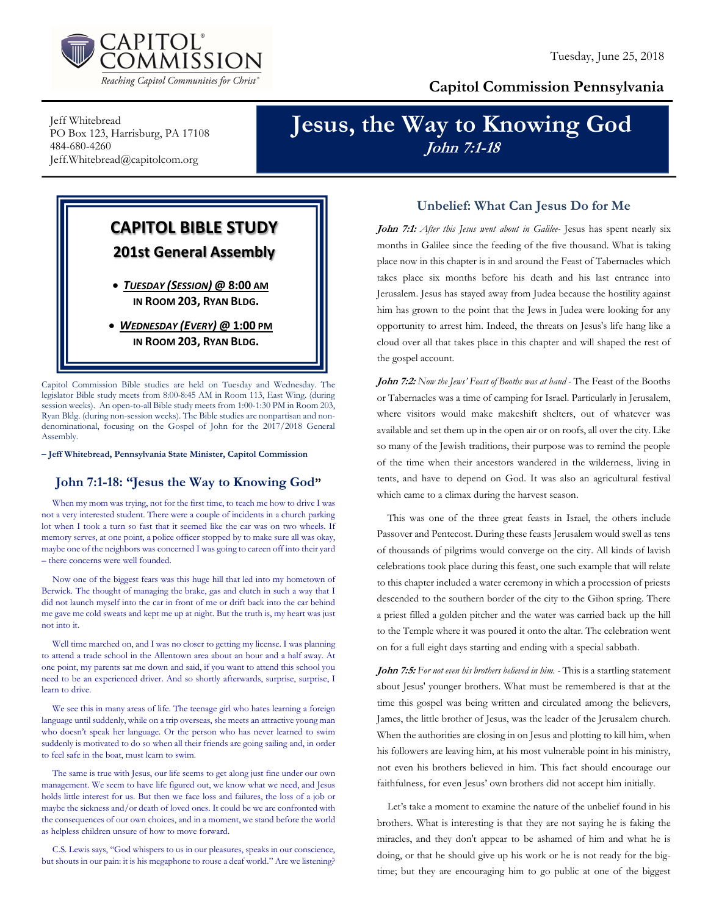

## Capitol Commission Pennsylvania

Jeff Whitebread PO Box 123, Harrisburg, PA 17108 484-680-4260 Jeff.Whitebread@capitolcom.org

# Jesus, the Way to Knowing God John 7:1-18

CAPITOL BIBLE STUDY 201st General Assembly TUESDAY (SESSION) @ 8:00 AM IN ROOM 203, RYAN BLDG.

 WEDNESDAY (EVERY) @ 1:00 PM IN ROOM 203, RYAN BLDG.

Capitol Commission Bible studies are held on Tuesday and Wednesday. The legislator Bible study meets from 8:00-8:45 AM in Room 113, East Wing. (during session weeks). An open-to-all Bible study meets from 1:00-1:30 PM in Room 203, Ryan Bldg. (during non-session weeks). The Bible studies are nonpartisan and nondenominational, focusing on the Gospel of John for the 2017/2018 General Assembly.

– Jeff Whitebread, Pennsylvania State Minister, Capitol Commission

### John 7:1-18: "Jesus the Way to Knowing God"

When my mom was trying, not for the first time, to teach me how to drive I was not a very interested student. There were a couple of incidents in a church parking lot when I took a turn so fast that it seemed like the car was on two wheels. If memory serves, at one point, a police officer stopped by to make sure all was okay, maybe one of the neighbors was concerned I was going to careen off into their yard – there concerns were well founded.

Now one of the biggest fears was this huge hill that led into my hometown of Berwick. The thought of managing the brake, gas and clutch in such a way that I did not launch myself into the car in front of me or drift back into the car behind me gave me cold sweats and kept me up at night. But the truth is, my heart was just not into it.

Well time marched on, and I was no closer to getting my license. I was planning to attend a trade school in the Allentown area about an hour and a half away. At one point, my parents sat me down and said, if you want to attend this school you need to be an experienced driver. And so shortly afterwards, surprise, surprise, I learn to drive.

We see this in many areas of life. The teenage girl who hates learning a foreign language until suddenly, while on a trip overseas, she meets an attractive young man who doesn't speak her language. Or the person who has never learned to swim suddenly is motivated to do so when all their friends are going sailing and, in order to feel safe in the boat, must learn to swim.

The same is true with Jesus, our life seems to get along just fine under our own management. We seem to have life figured out, we know what we need, and Jesus holds little interest for us. But then we face loss and failures, the loss of a job or maybe the sickness and/or death of loved ones. It could be we are confronted with the consequences of our own choices, and in a moment, we stand before the world as helpless children unsure of how to move forward.

C.S. Lewis says, "God whispers to us in our pleasures, speaks in our conscience, but shouts in our pain: it is his megaphone to rouse a deaf world." Are we listening?

#### Unbelief: What Can Jesus Do for Me

John 7:1: After this Jesus went about in Galilee- Jesus has spent nearly six months in Galilee since the feeding of the five thousand. What is taking place now in this chapter is in and around the Feast of Tabernacles which takes place six months before his death and his last entrance into Jerusalem. Jesus has stayed away from Judea because the hostility against him has grown to the point that the Jews in Judea were looking for any opportunity to arrest him. Indeed, the threats on Jesus's life hang like a cloud over all that takes place in this chapter and will shaped the rest of the gospel account.

John 7:2: Now the Jews' Feast of Booths was at hand - The Feast of the Booths or Tabernacles was a time of camping for Israel. Particularly in Jerusalem, where visitors would make makeshift shelters, out of whatever was available and set them up in the open air or on roofs, all over the city. Like so many of the Jewish traditions, their purpose was to remind the people of the time when their ancestors wandered in the wilderness, living in tents, and have to depend on God. It was also an agricultural festival which came to a climax during the harvest season.

This was one of the three great feasts in Israel, the others include Passover and Pentecost. During these feasts Jerusalem would swell as tens of thousands of pilgrims would converge on the city. All kinds of lavish celebrations took place during this feast, one such example that will relate to this chapter included a water ceremony in which a procession of priests descended to the southern border of the city to the Gihon spring. There a priest filled a golden pitcher and the water was carried back up the hill to the Temple where it was poured it onto the altar. The celebration went on for a full eight days starting and ending with a special sabbath.

John 7:5: For not even his brothers believed in him. - This is a startling statement about Jesus' younger brothers. What must be remembered is that at the time this gospel was being written and circulated among the believers, James, the little brother of Jesus, was the leader of the Jerusalem church. When the authorities are closing in on Jesus and plotting to kill him, when his followers are leaving him, at his most vulnerable point in his ministry, not even his brothers believed in him. This fact should encourage our faithfulness, for even Jesus' own brothers did not accept him initially.

Let's take a moment to examine the nature of the unbelief found in his brothers. What is interesting is that they are not saying he is faking the miracles, and they don't appear to be ashamed of him and what he is doing, or that he should give up his work or he is not ready for the bigtime; but they are encouraging him to go public at one of the biggest